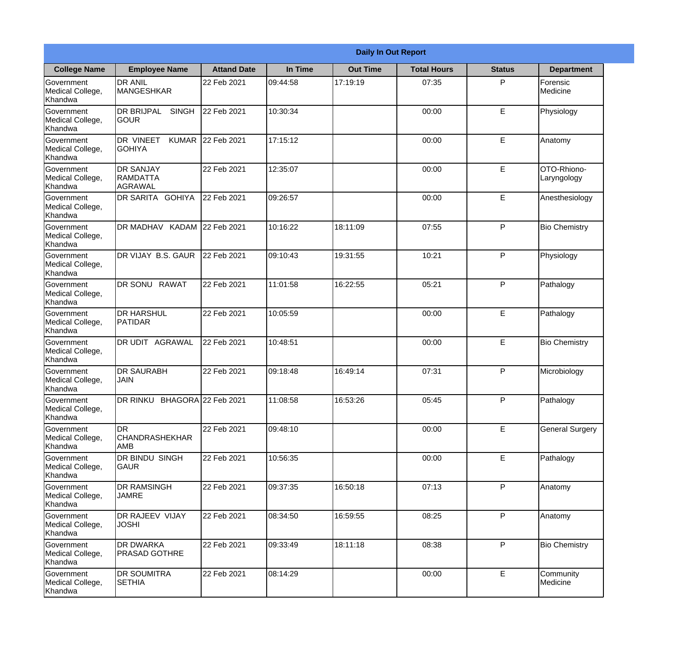|                                                  |                                                       |                    |          | <b>Daily In Out Report</b> |                    |               |                            |
|--------------------------------------------------|-------------------------------------------------------|--------------------|----------|----------------------------|--------------------|---------------|----------------------------|
| <b>College Name</b>                              | <b>Employee Name</b>                                  | <b>Attand Date</b> | In Time  | <b>Out Time</b>            | <b>Total Hours</b> | <b>Status</b> | <b>Department</b>          |
| Government<br>Medical College,<br>Khandwa        | <b>DR ANIL</b><br><b>MANGESHKAR</b>                   | 22 Feb 2021        | 09:44:58 | 17:19:19                   | 07:35              | P             | Forensic<br>Medicine       |
| Government<br>Medical College,<br>Khandwa        | <b>DR BRIJPAL</b><br><b>SINGH</b><br> GOUR            | 22 Feb 2021        | 10:30:34 |                            | 00:00              | E             | Physiology                 |
| <b>Government</b><br>Medical College,<br>Khandwa | <b>DR VINEET</b><br><b>KUMAR</b><br><b>I</b> GOHIYA   | 22 Feb 2021        | 17:15:12 |                            | 00:00              | E             | Anatomy                    |
| Government<br>Medical College,<br>Khandwa        | <b>DR SANJAY</b><br><b>RAMDATTA</b><br><b>AGRAWAL</b> | 22 Feb 2021        | 12:35:07 |                            | 00:00              | E             | OTO-Rhiono-<br>Laryngology |
| Government<br>Medical College,<br>Khandwa        | <b>DR SARITA GOHIYA</b>                               | 22 Feb 2021        | 09:26:57 |                            | 00:00              | E             | Anesthesiology             |
| Government<br>Medical College,<br>Khandwa        | DR MADHAV KADAM 22 Feb 2021                           |                    | 10:16:22 | 18:11:09                   | 07:55              | P             | <b>Bio Chemistry</b>       |
| Government<br>Medical College,<br>Khandwa        | DR VIJAY B.S. GAUR                                    | 22 Feb 2021        | 09:10:43 | 19:31:55                   | 10:21              | P             | Physiology                 |
| Government<br>Medical College,<br>Khandwa        | DR SONU RAWAT                                         | 22 Feb 2021        | 11:01:58 | 16:22:55                   | 05:21              | P             | Pathalogy                  |
| Government<br>Medical College,<br>Khandwa        | <b>DR HARSHUL</b><br>PATIDAR                          | 22 Feb 2021        | 10:05:59 |                            | 00:00              | E             | Pathalogy                  |
| Government<br>Medical College,<br>Khandwa        | DR UDIT<br><b>AGRAWAL</b>                             | 22 Feb 2021        | 10:48:51 |                            | 00:00              | E             | <b>Bio Chemistry</b>       |
| Government<br>Medical College,<br>Khandwa        | <b>IDR SAURABH</b><br><b>JAIN</b>                     | 22 Feb 2021        | 09:18:48 | 16:49:14                   | 07:31              | $\mathsf{P}$  | Microbiology               |
| Government<br>Medical College,<br>Khandwa        | DR RINKU BHAGORA 22 Feb 2021                          |                    | 11:08:58 | 16:53:26                   | 05:45              | P             | Pathalogy                  |
| Government<br>Medical College,<br>Khandwa        | IDR.<br>CHANDRASHEKHAR<br>AMB                         | 22 Feb 2021        | 09:48:10 |                            | 00:00              | E             | <b>General Surgery</b>     |
| Government<br>Medical College,<br>Khandwa        | DR BINDU SINGH<br> GAUR                               | 22 Feb 2021        | 10:56:35 |                            | 00:00              | E             | Pathalogy                  |
| Government<br>Medical College,<br>Khandwa        | <b>DR RAMSINGH</b><br><b>JAMRE</b>                    | 22 Feb 2021        | 09:37:35 | 16:50:18                   | 07:13              | $\mathsf{P}$  | Anatomy                    |
| Government<br>Medical College,<br>Khandwa        | <b>DR RAJEEV VIJAY</b><br><b>JOSHI</b>                | 22 Feb 2021        | 08:34:50 | 16:59:55                   | 08:25              | P             | Anatomy                    |
| Government<br>Medical College,<br>Khandwa        | <b>DR DWARKA</b><br><b>PRASAD GOTHRE</b>              | 22 Feb 2021        | 09:33:49 | 18:11:18                   | 08:38              | P             | <b>Bio Chemistry</b>       |
| Government<br>Medical College,<br>Khandwa        | <b>DR SOUMITRA</b><br><b>SETHIA</b>                   | 22 Feb 2021        | 08:14:29 |                            | 00:00              | E             | Community<br>Medicine      |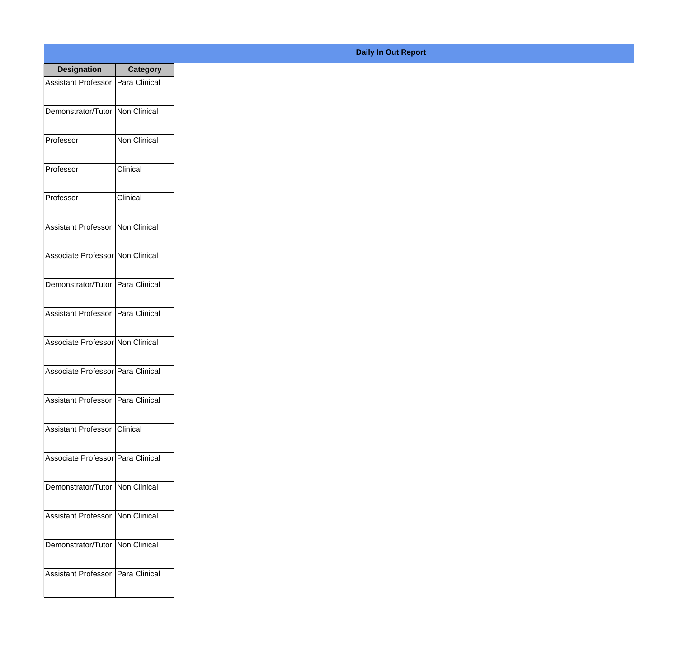| <b>Designation</b>                        | <b>Category</b> |
|-------------------------------------------|-----------------|
| <b>Assistant Professor IPara Clinical</b> |                 |
| Demonstrator/Tutor   Non Clinical         |                 |
| Professor                                 | Non Clinical    |
| Professor                                 | Clinical        |
| Professor                                 | Clinical        |
| Assistant Professor   Non Clinical        |                 |
| Associate Professor Non Clinical          |                 |
| Demonstrator/Tutor   Para Clinical        |                 |
| Assistant Professor   Para Clinical       |                 |
| Associate Professor Non Clinical          |                 |
| Associate Professor   Para Clinical       |                 |
| Assistant Professor   Para Clinical       |                 |
| Assistant Professor Clinical              |                 |
| Associate Professor   Para Clinical       |                 |
| Demonstrator/Tutor   Non Clinical         |                 |
| <b>Assistant Professor   Non Clinical</b> |                 |
| Demonstrator/Tutor   Non Clinical         |                 |
| Assistant Professor   Para Clinical       |                 |

## **Daily In Out Report**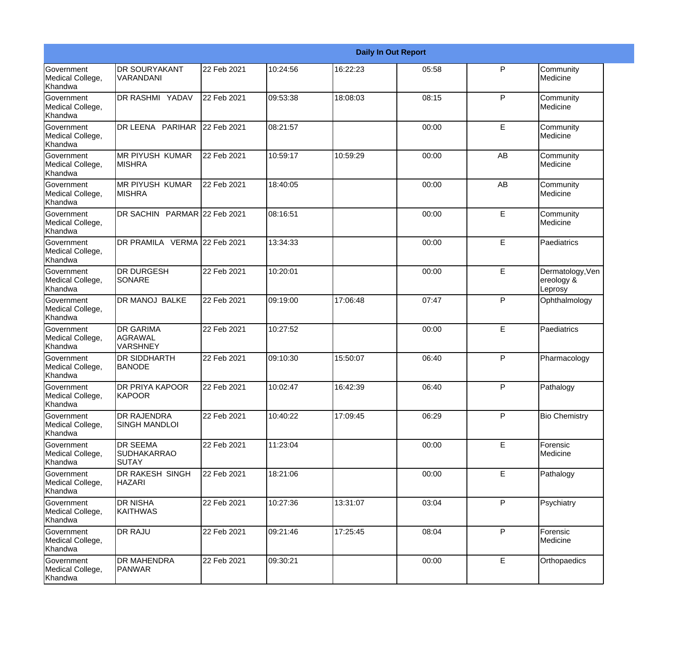|                                           |                                                       |             |          |          | <b>Daily In Out Report</b> |              |                                           |
|-------------------------------------------|-------------------------------------------------------|-------------|----------|----------|----------------------------|--------------|-------------------------------------------|
| Government<br>Medical College,<br>Khandwa | <b>DR SOURYAKANT</b><br>VARANDANI                     | 22 Feb 2021 | 10:24:56 | 16:22:23 | 05:58                      | P            | Community<br>Medicine                     |
| Government<br>Medical College,<br>Khandwa | <b>DR RASHMI YADAV</b>                                | 22 Feb 2021 | 09:53:38 | 18:08:03 | 08:15                      | P            | Community<br>Medicine                     |
| Government<br>Medical College,<br>Khandwa | DR LEENA PARIHAR 22 Feb 2021                          |             | 08:21:57 |          | 00:00                      | E            | Community<br>Medicine                     |
| Government<br>Medical College,<br>Khandwa | <b>MR PIYUSH KUMAR</b><br>MISHRA                      | 22 Feb 2021 | 10:59:17 | 10:59:29 | 00:00                      | AB           | Community<br>Medicine                     |
| Government<br>Medical College,<br>Khandwa | <b>MR PIYUSH KUMAR</b><br><b>MISHRA</b>               | 22 Feb 2021 | 18:40:05 |          | 00:00                      | AB           | Community<br>Medicine                     |
| Government<br>Medical College,<br>Khandwa | DR SACHIN PARMAR 22 Feb 2021                          |             | 08:16:51 |          | 00:00                      | E            | Community<br>Medicine                     |
| Government<br>Medical College,<br>Khandwa | DR PRAMILA VERMA 22 Feb 2021                          |             | 13:34:33 |          | 00:00                      | E            | Paediatrics                               |
| Government<br>Medical College,<br>Khandwa | <b>DR DURGESH</b><br><b>SONARE</b>                    | 22 Feb 2021 | 10:20:01 |          | 00:00                      | E            | Dermatology, Ven<br>ereology &<br>Leprosy |
| Government<br>Medical College,<br>Khandwa | DR MANOJ BALKE                                        | 22 Feb 2021 | 09:19:00 | 17:06:48 | 07:47                      | $\mathsf{P}$ | Ophthalmology                             |
| Government<br>Medical College,<br>Khandwa | <b>DR GARIMA</b><br>AGRAWAL<br><b>VARSHNEY</b>        | 22 Feb 2021 | 10:27:52 |          | 00:00                      | E            | Paediatrics                               |
| Government<br>Medical College,<br>Khandwa | <b>DR SIDDHARTH</b><br><b>BANODE</b>                  | 22 Feb 2021 | 09:10:30 | 15:50:07 | 06:40                      | P            | Pharmacology                              |
| Government<br>Medical College,<br>Khandwa | <b>DR PRIYA KAPOOR</b><br>KAPOOR                      | 22 Feb 2021 | 10:02:47 | 16:42:39 | 06:40                      | P            | Pathalogy                                 |
| Government<br>Medical College,<br>Khandwa | DR RAJENDRA<br><b>SINGH MANDLOI</b>                   | 22 Feb 2021 | 10:40:22 | 17:09:45 | 06:29                      | $\mathsf{P}$ | <b>Bio Chemistry</b>                      |
| Government<br>Medical College,<br>Khandwa | <b>DR SEEMA</b><br><b>SUDHAKARRAO</b><br><b>SUTAY</b> | 22 Feb 2021 | 11:23:04 |          | 00:00                      | E            | Forensic<br>Medicine                      |
| Government<br>Medical College,<br>Khandwa | DR RAKESH SINGH<br><b>HAZARI</b>                      | 22 Feb 2021 | 18:21:06 |          | 00:00                      | E            | Pathalogy                                 |
| Government<br>Medical College,<br>Khandwa | <b>DR NISHA</b><br>KAITHWAS                           | 22 Feb 2021 | 10:27:36 | 13:31:07 | 03:04                      | P            | Psychiatry                                |
| Government<br>Medical College,<br>Khandwa | <b>DR RAJU</b>                                        | 22 Feb 2021 | 09:21:46 | 17:25:45 | 08:04                      | $\mathsf{P}$ | Forensic<br>Medicine                      |
| Government<br>Medical College,<br>Khandwa | <b>DR MAHENDRA</b><br>PANWAR                          | 22 Feb 2021 | 09:30:21 |          | 00:00                      | $\mathsf E$  | Orthopaedics                              |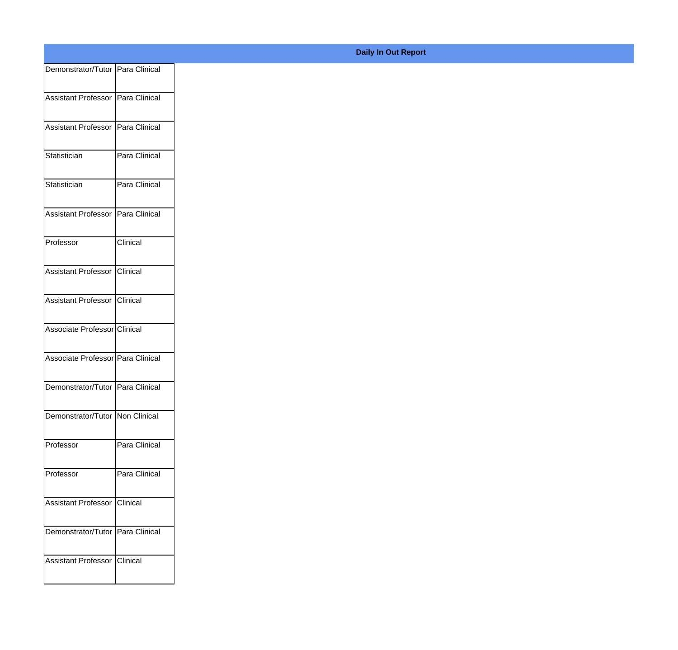| Demonstrator/Tutor Para Clinical  |               |
|-----------------------------------|---------------|
|                                   |               |
| Assistant Professor Para Clinical |               |
| Assistant Professor Para Clinical |               |
|                                   |               |
| Statistician                      | Para Clinical |
| Statistician                      | Para Clinical |
|                                   |               |
| Assistant Professor               | Para Clinical |
| Professor                         | Clinical      |
|                                   |               |
| Assistant Professor Clinical      |               |
|                                   |               |
| Assistant Professor Clinical      |               |
| Associate Professor Clinical      |               |
|                                   |               |
| Associate Professor Para Clinical |               |
| Demonstrator/Tutor Para Clinical  |               |
|                                   |               |
| Demonstrator/Tutor Non Clinical   |               |
| Professor                         | Para Clinical |
|                                   |               |
| Professor                         | Para Clinical |
| Assistant Professor               | Clinical      |
|                                   |               |
| Demonstrator/Tutor Para Clinical  |               |
|                                   |               |
| Assistant Professor               | Clinical      |
|                                   |               |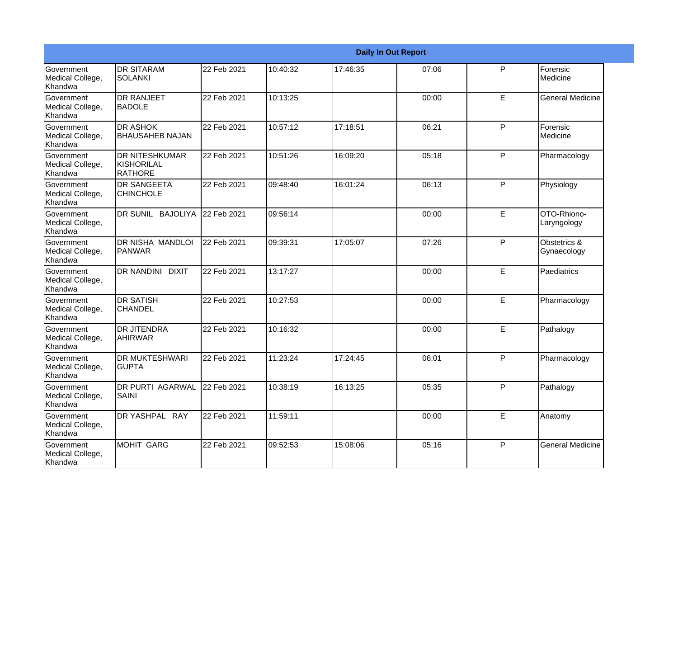|                                                  |                                                       |             |          |          | <b>Daily In Out Report</b> |   |                             |
|--------------------------------------------------|-------------------------------------------------------|-------------|----------|----------|----------------------------|---|-----------------------------|
| <b>Government</b><br>Medical College,<br>Khandwa | <b>I</b> DR SITARAM<br><b>SOLANKI</b>                 | 22 Feb 2021 | 10:40:32 | 17:46:35 | 07:06                      | P | Forensic<br>Medicine        |
| Government<br>Medical College,<br>Khandwa        | <b>DR RANJEET</b><br><b>BADOLE</b>                    | 22 Feb 2021 | 10:13:25 |          | 00:00                      | E | <b>General Medicine</b>     |
| <b>Government</b><br>Medical College,<br>Khandwa | <b>DR ASHOK</b><br><b>BHAUSAHEB NAJAN</b>             | 22 Feb 2021 | 10:57:12 | 17:18:51 | 06:21                      | P | Forensic<br>Medicine        |
| Government<br>Medical College,<br>Khandwa        | <b>DR NITESHKUMAR</b><br>KISHORILAL<br><b>RATHORE</b> | 22 Feb 2021 | 10:51:26 | 16:09:20 | 05:18                      | P | Pharmacology                |
| Government<br>Medical College,<br>Khandwa        | <b>DR SANGEETA</b><br><b>CHINCHOLE</b>                | 22 Feb 2021 | 09:48:40 | 16:01:24 | 06:13                      | P | Physiology                  |
| Government<br>Medical College,<br>Khandwa        | DR SUNIL BAJOLIYA                                     | 22 Feb 2021 | 09:56:14 |          | 00:00                      | E | OTO-Rhiono-<br>Laryngology  |
| <b>Government</b><br>Medical College,<br>Khandwa | <b>DR NISHA MANDLOI</b><br><b>PANWAR</b>              | 22 Feb 2021 | 09:39:31 | 17:05:07 | 07:26                      | P | Obstetrics &<br>Gynaecology |
| Government<br>Medical College,<br>Khandwa        | <b>DR NANDINI DIXIT</b>                               | 22 Feb 2021 | 13:17:27 |          | 00:00                      | E | Paediatrics                 |
| Government<br>Medical College,<br>Khandwa        | <b>DR SATISH</b><br><b>CHANDEL</b>                    | 22 Feb 2021 | 10:27:53 |          | 00:00                      | E | Pharmacology                |
| Government<br>Medical College,<br>Khandwa        | <b>DR JITENDRA</b><br><b>AHIRWAR</b>                  | 22 Feb 2021 | 10:16:32 |          | 00:00                      | E | Pathalogy                   |
| <b>Government</b><br>Medical College,<br>Khandwa | <b>DR MUKTESHWARI</b><br><b>GUPTA</b>                 | 22 Feb 2021 | 11:23:24 | 17:24:45 | 06:01                      | P | Pharmacology                |
| Government<br>Medical College,<br>Khandwa        | <b>DR PURTI AGARWAL</b><br>SAINI                      | 22 Feb 2021 | 10:38:19 | 16:13:25 | 05:35                      | P | Pathalogy                   |
| Government<br>Medical College,<br>Khandwa        | DR YASHPAL RAY                                        | 22 Feb 2021 | 11:59:11 |          | 00:00                      | E | Anatomy                     |
| Government<br>Medical College,<br>Khandwa        | MOHIT GARG                                            | 22 Feb 2021 | 09:52:53 | 15:08:06 | 05:16                      | P | <b>General Medicine</b>     |